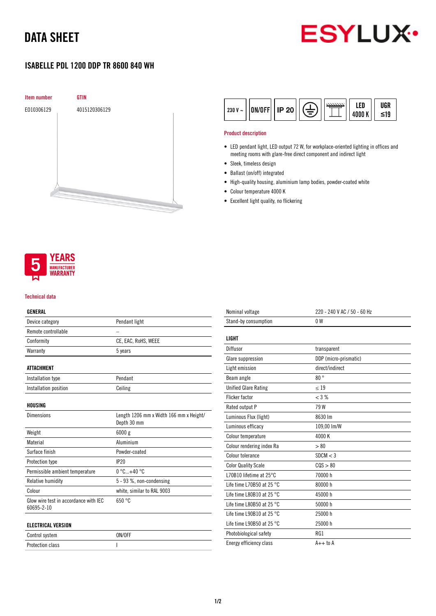# DATA SHEET



## ISABELLE PDL 1200 DDP TR 8600 840 WH





### Product description

- LED pendant light, LED output 72 W, for workplace-oriented lighting in offices and meeting rooms with glare-free direct component and indirect light
- Sleek, timeless design
- Ballast (on/off) integrated
- High-quality housing, aluminium lamp bodies, powder-coated white
- Colour temperature 4000 K
- Excellent light quality, no flickering



#### Technical data

### GENERAL

| Device category                                     | Pendant light                                          |
|-----------------------------------------------------|--------------------------------------------------------|
| Remote controllable                                 |                                                        |
| Conformity                                          | CE, EAC, RoHS, WEEE                                    |
| Warranty                                            | 5 years                                                |
| ATTACHMENT                                          |                                                        |
| Installation type                                   | Pendant                                                |
| Installation position                               | Ceiling                                                |
| HOUSING                                             |                                                        |
| <b>Dimensions</b>                                   | Length 1206 mm x Width 166 mm x Height/<br>Depth 30 mm |
| Weight                                              | 6000 g                                                 |
| Material                                            | Aluminium                                              |
| Surface finish                                      | Powder-coated                                          |
| Protection type                                     | IP20                                                   |
| Permissible ambient temperature                     | $0^{\circ}$ C+40 $^{\circ}$ C                          |
| Relative humidity                                   | 5 - 93 %, non-condensing                               |
| Colour                                              | white, similar to RAL 9003                             |
| Glow wire test in accordance with IEC<br>60695-2-10 | 650 °C                                                 |
| <b>ELECTRICAL VERSION</b>                           |                                                        |

| Control system   | ON/OFF |
|------------------|--------|
| Protection class |        |

| Nominal voltage                     | 220 - 240 V AC / 50 - 60 Hz |
|-------------------------------------|-----------------------------|
| Stand-by consumption                | 0 <sup>W</sup>              |
|                                     |                             |
| LIGHT                               |                             |
| Diffusor                            | transparent                 |
| Glare suppression                   | DDP (micro-prismatic)       |
| Light emission                      | direct/indirect             |
| Beam angle                          | 80°                         |
| <b>Unified Glare Rating</b>         | < 19                        |
| <b>Flicker factor</b>               | < 3 %                       |
| Rated output P                      | 79W                         |
| Luminous Flux (light)               | 8630 lm                     |
| Luminous efficacy                   | 109,00 lm/W                 |
| Colour temperature                  | 4000 K                      |
| Colour rendering index Ra           | > 80                        |
| Colour tolerance                    | SDCM < 3                    |
| <b>Color Quality Scale</b>          | COS > 80                    |
| L70B10 lifetime at 25°C             | 70000 h                     |
| Life time L70B50 at 25 $^{\circ}$ C | 80000 h                     |
| Life time L80B10 at 25 $^{\circ}$ C | 45000 h                     |
| Life time L80B50 at 25 $^{\circ}$ C | 50000 h                     |
| Life time L90B10 at 25 $^{\circ}$ C | 25000 h                     |
| Life time L90B50 at 25 $^{\circ}$ C | 25000 h                     |
| Photobiological safety              | RG1                         |
| Energy efficiency class             | $A++$ to $A$                |
|                                     |                             |